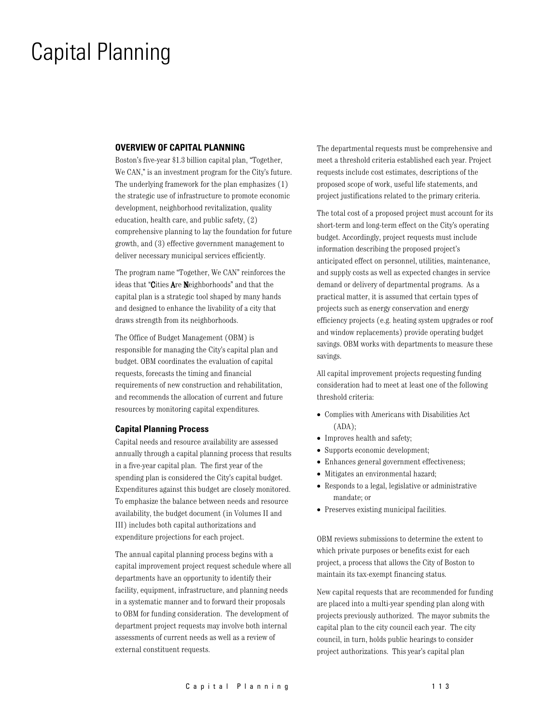### **Capital Planning**

### **OVERVIEW OF CAPITAL PLANNING**

Boston's five-year \$1.3 billion capital plan, "Together, We CAN," is an investment program for the City's future. The underlying framework for the plan emphasizes (1) the strategic use of infrastructure to promote economic development, neighborhood revitalization, quality education, health care, and public safety, (2) comprehensive planning to lay the foundation for future growth, and (3) effective government management to deliver necessary municipal services efficiently.

The program name "Together, We CAN" reinforces the ideas that "Cities Are Neighborhoods" and that the capital plan is a strategic tool shaped by many hands and designed to enhance the livability of a city that draws strength from its neighborhoods.

The Office of Budget Management (OBM) is responsible for managing the City's capital plan and budget. OBM coordinates the evaluation of capital requests, forecasts the timing and financial requirements of new construction and rehabilitation, and recommends the allocation of current and future resources by monitoring capital expenditures.

### **Capital Planning Process**

Capital needs and resource availability are assessed annually through a capital planning process that results in a five-year capital plan. The first year of the spending plan is considered the City's capital budget. Expenditures against this budget are closely monitored. To emphasize the balance between needs and resource availability, the budget document (in Volumes II and III) includes both capital authorizations and expenditure projections for each project.

The annual capital planning process begins with a capital improvement project request schedule where all departments have an opportunity to identify their facility, equipment, infrastructure, and planning needs in a systematic manner and to forward their proposals to OBM for funding consideration. The development of department project requests may involve both internal assessments of current needs as well as a review of external constituent requests.

The departmental requests must be comprehensive and meet a threshold criteria established each year. Project requests include cost estimates, descriptions of the proposed scope of work, useful life statements, and project justifications related to the primary criteria.

The total cost of a proposed project must account for its short-term and long-term effect on the City's operating budget. Accordingly, project requests must include information describing the proposed project's anticipated effect on personnel, utilities, maintenance, and supply costs as well as expected changes in service demand or delivery of departmental programs. As a practical matter, it is assumed that certain types of projects such as energy conservation and energy efficiency projects (e.g. heating system upgrades or roof and window replacements) provide operating budget savings. OBM works with departments to measure these savings.

All capital improvement projects requesting funding consideration had to meet at least one of the following threshold criteria:

- Complies with Americans with Disabilities Act  $(ADA);$
- Improves health and safety;
- Supports economic development;
- Enhances general government effectiveness;
- Mitigates an environmental hazard;
- Responds to a legal, legislative or administrative mandate; or
- Preserves existing municipal facilities.

OBM reviews submissions to determine the extent to which private purposes or benefits exist for each project, a process that allows the City of Boston to maintain its tax-exempt financing status.

New capital requests that are recommended for funding are placed into a multi-year spending plan along with projects previously authorized. The mayor submits the capital plan to the city council each year. The city council, in turn, holds public hearings to consider project authorizations. This year's capital plan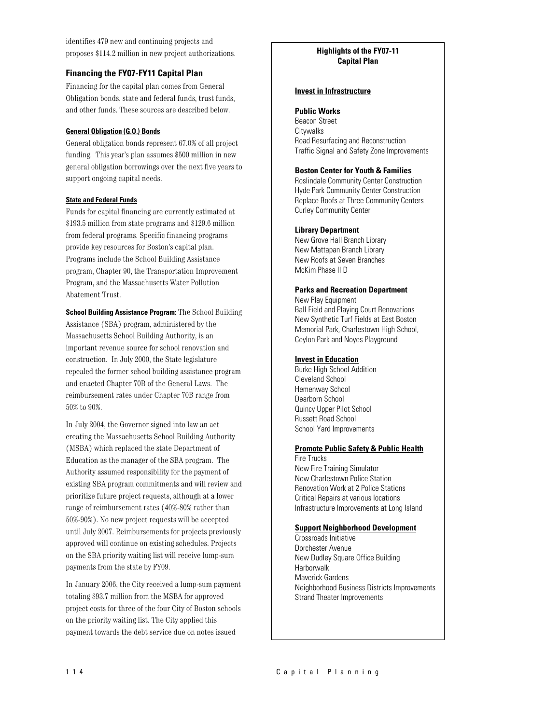identifies 479 new and continuing projects and proposes \$114.2 million in new project authorizations.

### **Financing the FY07-FY11 Capital Plan**

Financing for the capital plan comes from General Obligation bonds, state and federal funds, trust funds, and other funds. These sources are described below.

### **General Obligation (G.O.) Bonds**

General obligation bonds represent 67.0% of all project funding. This year's plan assumes \$500 million in new general obligation borrowings over the next five years to support ongoing capital needs.

### **State and Federal Funds**

Funds for capital financing are currently estimated at \$193.5 million from state programs and \$129.6 million from federal programs. Specific financing programs provide key resources for Boston's capital plan. Programs include the School Building Assistance program, Chapter 90, the Transportation Improvement Program, and the Massachusetts Water Pollution Abatement Trust.

School Building Assistance Program: The School Building Assistance (SBA) program, administered by the Massachusetts School Building Authority, is an important revenue source for school renovation and construction. In July 2000, the State legislature repealed the former school building assistance program and enacted Chapter 70B of the General Laws. The reimbursement rates under Chapter 70B range from 50% to 90%.

In July 2004, the Governor signed into law an act creating the Massachusetts School Building Authority (MSBA) which replaced the state Department of Education as the manager of the SBA program. The Authority assumed responsibility for the payment of existing SBA program commitments and will review and prioritize future project requests, although at a lower range of reimbursement rates (40%-80% rather than 50%-90%). No new project requests will be accepted until July 2007. Reimbursements for projects previously approved will continue on existing schedules. Projects on the SBA priority waiting list will receive lump-sum payments from the state by FY09.

In January 2006, the City received a lump-sum payment totaling \$93.7 million from the MSBA for approved project costs for three of the four City of Boston schools on the priority waiting list. The City applied this payment towards the debt service due on notes issued

### **Highlights of the FY07-11 Capital Plan**

### **Invest in Infrastructure**

### **Public Works**

**Beacon Street** Citywalks Road Resurfacing and Reconstruction Traffic Signal and Safety Zone Improvements

### **Boston Center for Youth & Families**

Roslindale Community Center Construction Hyde Park Community Center Construction Replace Roofs at Three Community Centers **Curley Community Center** 

### **Library Department**

New Grove Hall Branch Library New Mattapan Branch Library New Roofs at Seven Branches McKim Phase II D

### **Parks and Recreation Department**

New Play Equipment **Ball Field and Playing Court Renovations** New Synthetic Turf Fields at East Boston Memorial Park, Charlestown High School, Ceylon Park and Noyes Playground

### **Invest in Education**

**Burke High School Addition** Cleveland School Hemenway School Dearborn School Quincy Upper Pilot School **Russett Road School** School Yard Improvements

### **Promote Public Safety & Public Health**

**Fire Trucks** New Fire Training Simulator New Charlestown Police Station **Renovation Work at 2 Police Stations** Critical Repairs at various locations Infrastructure Improvements at Long Island

### **Support Neighborhood Development**

Crossroads Initiative Dorchester Avenue New Dudley Square Office Building **Harborwalk** Maverick Gardens Neighborhood Business Districts Improvements Strand Theater Improvements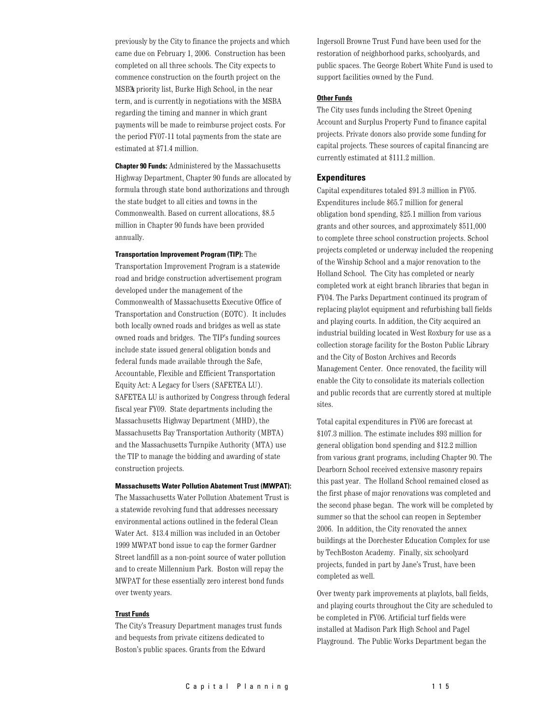previously by the City to finance the projects and which came due on February 1, 2006. Construction has been completed on all three schools. The City expects to commence construction on the fourth project on the MSB's priority list, Burke High School, in the near term, and is currently in negotiations with the MSBA regarding the timing and manner in which grant payments will be made to reimburse project costs. For the period FY07-11 total payments from the state are estimated at \$71.4 million.

**Chapter 90 Funds:** Administered by the Massachusetts Highway Department, Chapter 90 funds are allocated by formula through state bond authorizations and through the state budget to all cities and towns in the Commonwealth. Based on current allocations, \$8.5 million in Chapter 90 funds have been provided annually.

### **Transportation Improvement Program (TIP):** The

Transportation Improvement Program is a statewide road and bridge construction advertisement program developed under the management of the Commonwealth of Massachusetts Executive Office of Transportation and Construction (EOTC). It includes both locally owned roads and bridges as well as state owned roads and bridges. The TIP's funding sources include state issued general obligation bonds and federal funds made available through the Safe, Accountable, Flexible and Efficient Transportation Equity Act: A Legacy for Users (SAFETEA LU). SAFETEA LU is authorized by Congress through federal fiscal year FY09. State departments including the Massachusetts Highway Department (MHD), the Massachusetts Bay Transportation Authority (MBTA) and the Massachusetts Turnpike Authority (MTA) use the TIP to manage the bidding and awarding of state construction projects.

### **Massachusetts Water Pollution Abatement Trust (MWPAT):**

The Massachusetts Water Pollution Abatement Trust is a statewide revolving fund that addresses necessary environmental actions outlined in the federal Clean Water Act. \$13.4 million was included in an October 1999 MWPAT bond issue to cap the former Gardner Street landfill as a non-point source of water pollution and to create Millennium Park. Boston will repay the MWPAT for these essentially zero interest bond funds over twenty years.

### **Trust Funds**

The City's Treasury Department manages trust funds and bequests from private citizens dedicated to Boston's public spaces. Grants from the Edward

Ingersoll Browne Trust Fund have been used for the restoration of neighborhood parks, schoolyards, and public spaces. The George Robert White Fund is used to support facilities owned by the Fund.

### **Other Funds**

The City uses funds including the Street Opening Account and Surplus Property Fund to finance capital projects. Private donors also provide some funding for capital projects. These sources of capital financing are currently estimated at \$111.2 million.

### **Expenditures**

Capital expenditures totaled \$91.3 million in FY05. Expenditures include \$65.7 million for general obligation bond spending, \$25.1 million from various grants and other sources, and approximately \$511,000 to complete three school construction projects. School projects completed or underway included the reopening of the Winship School and a major renovation to the Holland School. The City has completed or nearly completed work at eight branch libraries that began in FY04. The Parks Department continued its program of replacing playlot equipment and refurbishing ball fields and playing courts. In addition, the City acquired an industrial building located in West Roxbury for use as a collection storage facility for the Boston Public Library and the City of Boston Archives and Records Management Center. Once renovated, the facility will enable the City to consolidate its materials collection and public records that are currently stored at multiple sites.

Total capital expenditures in FY06 are forecast at  $\$107.3$  million. The estimate includes  $\$93$  million for general obligation bond spending and \$12.2 million from various grant programs, including Chapter 90. The Dearborn School received extensive masonry repairs this past year. The Holland School remained closed as the first phase of major renovations was completed and the second phase began. The work will be completed by summer so that the school can reopen in September 2006. In addition, the City renovated the annex buildings at the Dorchester Education Complex for use by TechBoston Academy. Finally, six schoolyard projects, funded in part by Jane's Trust, have been completed as well.

Over twenty park improvements at playlots, ball fields, and playing courts throughout the City are scheduled to be completed in FY06. Artificial turf fields were installed at Madison Park High School and Pagel Playground. The Public Works Department began the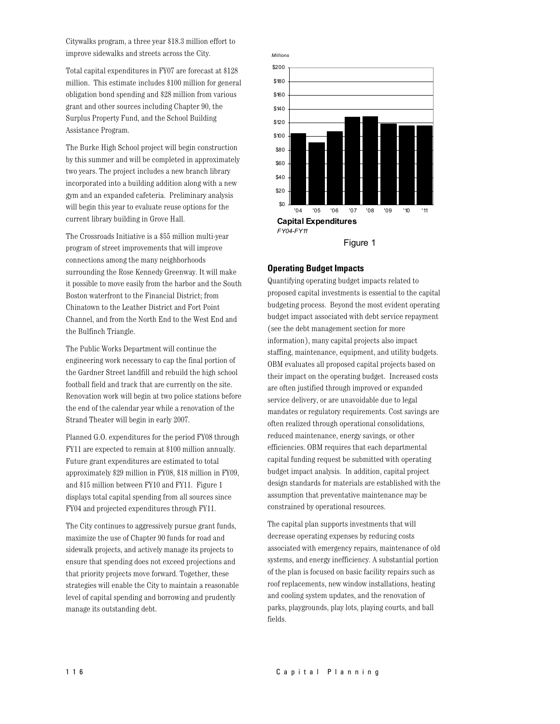Citywalks program, a three year \$18.3 million effort to improve sidewalks and streets across the City.

Total capital expenditures in FY07 are forecast at \$128 million. This estimate includes \$100 million for general obligation bond spending and \$28 million from various grant and other sources including Chapter 90, the Surplus Property Fund, and the School Building Assistance Program.

The Burke High School project will begin construction by this summer and will be completed in approximately two years. The project includes a new branch library incorporated into a building addition along with a new gym and an expanded cafeteria. Preliminary analysis will begin this year to evaluate reuse options for the current library building in Grove Hall.

The Crossroads Initiative is a \$55 million multi-year program of street improvements that will improve connections among the many neighborhoods surrounding the Rose Kennedy Greenway. It will make it possible to move easily from the harbor and the South Boston waterfront to the Financial District; from Chinatown to the Leather District and Fort Point Channel, and from the North End to the West End and the Bulfinch Triangle.

The Public Works Department will continue the engineering work necessary to cap the final portion of the Gardner Street landfill and rebuild the high school football field and track that are currently on the site. Renovation work will begin at two police stations before the end of the calendar year while a renovation of the Strand Theater will begin in early 2007.

Planned G.O. expenditures for the period FY08 through FY11 are expected to remain at \$100 million annually. Future grant expenditures are estimated to total approximately \$29 million in FY08, \$18 million in FY09, and \$15 million between FY10 and FY11. Figure 1 displays total capital spending from all sources since FY04 and projected expenditures through FY11.

The City continues to aggressively pursue grant funds. maximize the use of Chapter 90 funds for road and sidewalk projects, and actively manage its projects to ensure that spending does not exceed projections and that priority projects move forward. Together, these strategies will enable the City to maintain a reasonable level of capital spending and borrowing and prudently manage its outstanding debt.



### **Operating Budget Impacts**

Quantifying operating budget impacts related to proposed capital investments is essential to the capital budgeting process. Beyond the most evident operating budget impact associated with debt service repayment (see the debt management section for more information), many capital projects also impact staffing, maintenance, equipment, and utility budgets. OBM evaluates all proposed capital projects based on their impact on the operating budget. Increased costs are often justified through improved or expanded service delivery, or are unavoidable due to legal mandates or regulatory requirements. Cost savings are often realized through operational consolidations, reduced maintenance, energy savings, or other efficiencies. OBM requires that each departmental capital funding request be submitted with operating budget impact analysis. In addition, capital project design standards for materials are established with the assumption that preventative maintenance may be constrained by operational resources.

The capital plan supports investments that will decrease operating expenses by reducing costs associated with emergency repairs, maintenance of old systems, and energy inefficiency. A substantial portion of the plan is focused on basic facility repairs such as roof replacements, new window installations, heating and cooling system updates, and the renovation of parks, playgrounds, play lots, playing courts, and ball fields.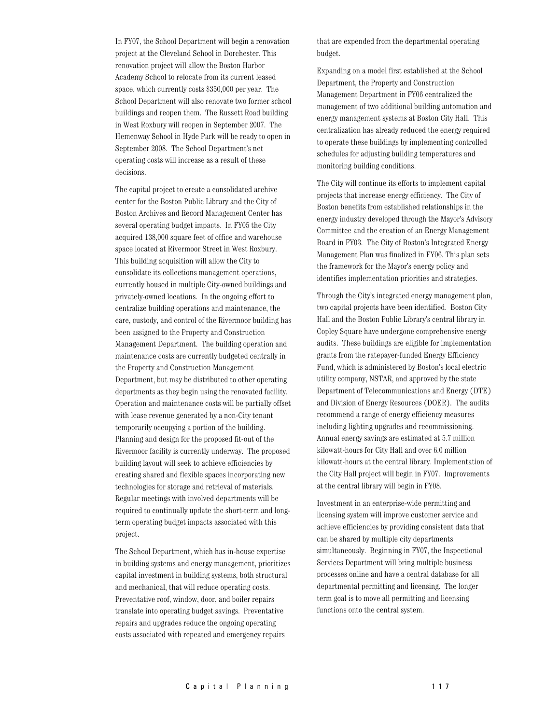In FY07, the School Department will begin a renovation project at the Cleveland School in Dorchester. This renovation project will allow the Boston Harbor Academy School to relocate from its current leased space, which currently costs \$350,000 per year. The School Department will also renovate two former school buildings and reopen them. The Russett Road building in West Roxbury will reopen in September 2007. The Hemenway School in Hyde Park will be ready to open in September 2008. The School Department's net operating costs will increase as a result of these decisions.

The capital project to create a consolidated archive center for the Boston Public Library and the City of Boston Archives and Record Management Center has several operating budget impacts. In FY05 the City acquired 138,000 square feet of office and warehouse space located at Rivermoor Street in West Roxbury. This building acquisition will allow the City to consolidate its collections management operations, currently housed in multiple City-owned buildings and privately-owned locations. In the ongoing effort to centralize building operations and maintenance, the care, custody, and control of the Rivermoor building has been assigned to the Property and Construction Management Department. The building operation and maintenance costs are currently budgeted centrally in the Property and Construction Management Department, but may be distributed to other operating departments as they begin using the renovated facility. Operation and maintenance costs will be partially offset with lease revenue generated by a non-City tenant temporarily occupying a portion of the building. Planning and design for the proposed fit-out of the Rivermoor facility is currently underway. The proposed building layout will seek to achieve efficiencies by creating shared and flexible spaces incorporating new technologies for storage and retrieval of materials. Regular meetings with involved departments will be required to continually update the short-term and longterm operating budget impacts associated with this project.

The School Department, which has in-house expertise in building systems and energy management, prioritizes capital investment in building systems, both structural and mechanical, that will reduce operating costs. Preventative roof, window, door, and boiler repairs translate into operating budget savings. Preventative repairs and upgrades reduce the ongoing operating costs associated with repeated and emergency repairs

that are expended from the departmental operating budget.

Expanding on a model first established at the School Department, the Property and Construction Management Department in FY06 centralized the management of two additional building automation and energy management systems at Boston City Hall. This centralization has already reduced the energy required to operate these buildings by implementing controlled schedules for adjusting building temperatures and monitoring building conditions.

The City will continue its efforts to implement capital projects that increase energy efficiency. The City of Boston benefits from established relationships in the energy industry developed through the Mayor's Advisory Committee and the creation of an Energy Management Board in FY03. The City of Boston's Integrated Energy Management Plan was finalized in FY06. This plan sets the framework for the Mayor's energy policy and identifies implementation priorities and strategies.

Through the City's integrated energy management plan, two capital projects have been identified. Boston City Hall and the Boston Public Library's central library in Copley Square have undergone comprehensive energy audits. These buildings are eligible for implementation grants from the ratepayer-funded Energy Efficiency Fund, which is administered by Boston's local electric utility company, NSTAR, and approved by the state Department of Telecommunications and Energy (DTE) and Division of Energy Resources (DOER). The audits recommend a range of energy efficiency measures including lighting upgrades and recommissioning. Annual energy savings are estimated at 5.7 million kilowatt-hours for City Hall and over 6.0 million kilowatt-hours at the central library. Implementation of the City Hall project will begin in FY07. Improvements at the central library will begin in FY08.

Investment in an enterprise-wide permitting and licensing system will improve customer service and achieve efficiencies by providing consistent data that can be shared by multiple city departments simultaneously. Beginning in FY07, the Inspectional Services Department will bring multiple business processes online and have a central database for all departmental permitting and licensing. The longer term goal is to move all permitting and licensing functions onto the central system.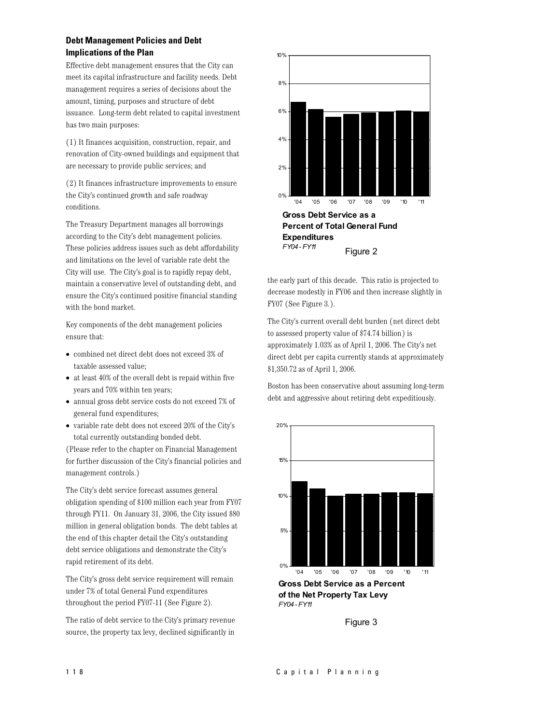### **Debt Management Policies and Debt Implications of the Plan**

Effective debt management ensures that the City can meet its capital infrastructure and facility needs. Debt management requires a series of decisions about the amount, timing, purposes and structure of debt issuance. Long-term debt related to capital investment has two main purposes:

(1) It finances acquisition, construction, repair, and renovation of City-owned buildings and equipment that are necessary to provide public services; and

(2) It finances infrastructure improvements to ensure the City's continued growth and safe roadway conditions.

The Treasury Department manages all borrowings according to the City's debt management policies. These policies address issues such as debt affordability and limitations on the level of variable rate debt the City will use. The City's goal is to rapidly repay debt, maintain a conservative level of outstanding debt, and ensure the City's continued positive financial standing with the bond market.

Key components of the debt management policies ensure that:

- combined net direct debt does not exceed 3% of taxable assessed value;
- $\bullet$  at least 40% of the overall debt is repaid within five years and 70% within ten years;
- annual gross debt service costs do not exceed 7% of general fund expenditures;
- variable rate debt does not exceed 20% of the City's total currently outstanding bonded debt.

(Please refer to the chapter on Financial Management) for further discussion of the City's financial policies and management controls.)

The City's debt service forecast assumes general obligation spending of \$100 million each year from FY07 through FY11. On January 31, 2006, the City issued \$80 million in general obligation bonds. The debt tables at the end of this chapter detail the City's outstanding debt service obligations and demonstrate the City's rapid retirement of its debt.

The City's gross debt service requirement will remain under 7% of total General Fund expenditures throughout the period FY07-11 (See Figure 2).

The ratio of debt service to the City's primary revenue source, the property tax levy, declined significantly in



the early part of this decade. This ratio is projected to

decrease modestly in FY06 and then increase slightly in FY07 (See Figure 3.).

The City's current overall debt burden (net direct debt to assessed property value of \$74.74 billion) is approximately 1.03% as of April 1, 2006. The City's net direct debt per capita currently stands at approximately \$1,350.72 as of April 1, 2006.

Boston has been conservative about assuming long-term debt and aggressive about retiring debt expeditiously.



of the Net Property Tax Levy FY04-FY11

Figure 3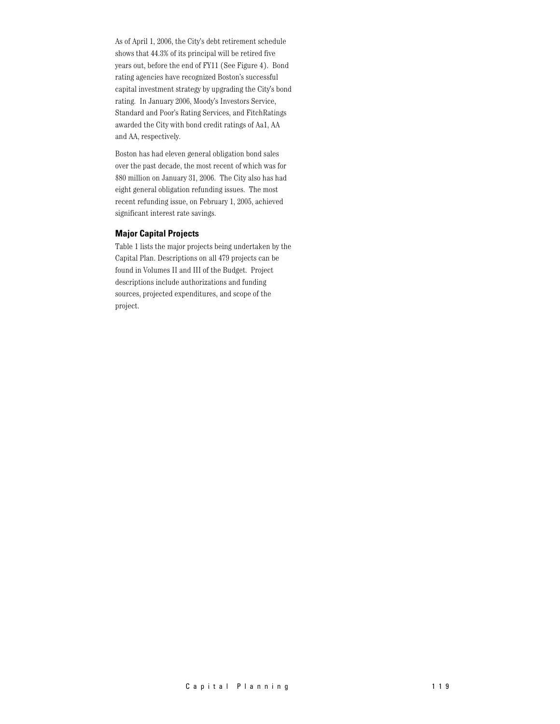As of April 1, 2006, the City's debt retirement schedule shows that 44.3% of its principal will be retired five years out, before the end of FY11 (See Figure 4). Bond rating agencies have recognized Boston's successful capital investment strategy by upgrading the City's bond rating. In January 2006, Moody's Investors Service, Standard and Poor's Rating Services, and FitchRatings awarded the City with bond credit ratings of Aa1, AA and AA, respectively.

Boston has had eleven general obligation bond sales over the past decade, the most recent of which was for \$80 million on January 31, 2006. The City also has had eight general obligation refunding issues. The most recent refunding issue, on February 1, 2005, achieved significant interest rate savings.

### **Major Capital Projects**

Table 1 lists the major projects being undertaken by the Capital Plan. Descriptions on all 479 projects can be found in Volumes II and III of the Budget. Project descriptions include authorizations and funding sources, projected expenditures, and scope of the project.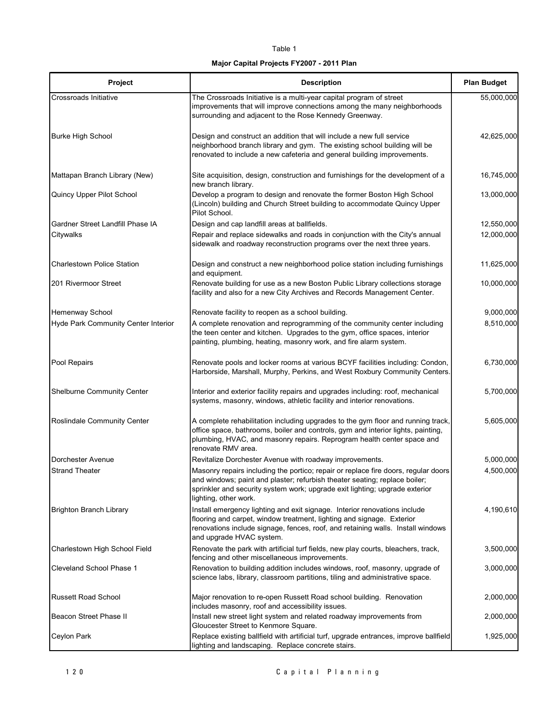### Table 1

### Major Capital Projects FY2007 - 2011 Plan

| Project                             | <b>Description</b>                                                                                                                                                                                                                                                       | <b>Plan Budget</b> |
|-------------------------------------|--------------------------------------------------------------------------------------------------------------------------------------------------------------------------------------------------------------------------------------------------------------------------|--------------------|
| Crossroads Initiative               | The Crossroads Initiative is a multi-year capital program of street<br>improvements that will improve connections among the many neighborhoods<br>surrounding and adjacent to the Rose Kennedy Greenway.                                                                 | 55,000,000         |
| <b>Burke High School</b>            | Design and construct an addition that will include a new full service<br>neighborhood branch library and gym. The existing school building will be<br>renovated to include a new cafeteria and general building improvements.                                            | 42,625,000         |
| Mattapan Branch Library (New)       | Site acquisition, design, construction and furnishings for the development of a<br>new branch library.                                                                                                                                                                   | 16,745,000         |
| Quincy Upper Pilot School           | Develop a program to design and renovate the former Boston High School<br>(Lincoln) building and Church Street building to accommodate Quincy Upper<br>Pilot School.                                                                                                     | 13,000,000         |
| Gardner Street Landfill Phase IA    | Design and cap landfill areas at ballfields.                                                                                                                                                                                                                             | 12,550,000         |
| Citywalks                           | Repair and replace sidewalks and roads in conjunction with the City's annual<br>sidewalk and roadway reconstruction programs over the next three years.                                                                                                                  | 12,000,000         |
| <b>Charlestown Police Station</b>   | Design and construct a new neighborhood police station including furnishings<br>and equipment.                                                                                                                                                                           | 11,625,000         |
| 201 Rivermoor Street                | Renovate building for use as a new Boston Public Library collections storage<br>facility and also for a new City Archives and Records Management Center.                                                                                                                 | 10,000,000         |
| Hemenway School                     | Renovate facility to reopen as a school building.                                                                                                                                                                                                                        | 9,000,000          |
| Hyde Park Community Center Interior | A complete renovation and reprogramming of the community center including<br>the teen center and kitchen. Upgrades to the gym, office spaces, interior<br>painting, plumbing, heating, masonry work, and fire alarm system.                                              | 8,510,000          |
| Pool Repairs                        | Renovate pools and locker rooms at various BCYF facilities including: Condon,<br>Harborside, Marshall, Murphy, Perkins, and West Roxbury Community Centers.                                                                                                              | 6,730,000          |
| Shelburne Community Center          | Interior and exterior facility repairs and upgrades including: roof, mechanical<br>systems, masonry, windows, athletic facility and interior renovations.                                                                                                                | 5,700,000          |
| Roslindale Community Center         | A complete rehabilitation including upgrades to the gym floor and running track,<br>office space, bathrooms, boiler and controls, gym and interior lights, painting,<br>plumbing, HVAC, and masonry repairs. Reprogram health center space and<br>renovate RMV area.     | 5,605,000          |
| Dorchester Avenue                   | Revitalize Dorchester Avenue with roadway improvements.                                                                                                                                                                                                                  | 5,000,000          |
| <b>Strand Theater</b>               | Masonry repairs including the portico; repair or replace fire doors, regular doors<br>and windows; paint and plaster; refurbish theater seating; replace boiler;<br>sprinkler and security system work; upgrade exit lighting; upgrade exterior<br>lighting, other work. | 4,500,000          |
| <b>Brighton Branch Library</b>      | Install emergency lighting and exit signage. Interior renovations include<br>flooring and carpet, window treatment, lighting and signage. Exterior<br>renovations include signage, fences, roof, and retaining walls. Install windows<br>and upgrade HVAC system.        | 4,190,610          |
| Charlestown High School Field       | Renovate the park with artificial turf fields, new play courts, bleachers, track,<br>fencing and other miscellaneous improvements.                                                                                                                                       | 3,500,000          |
| Cleveland School Phase 1            | Renovation to building addition includes windows, roof, masonry, upgrade of<br>science labs, library, classroom partitions, tiling and administrative space.                                                                                                             | 3,000,000          |
| <b>Russett Road School</b>          | Major renovation to re-open Russett Road school building. Renovation<br>includes masonry, roof and accessibility issues.                                                                                                                                                 | 2,000,000          |
| Beacon Street Phase II              | Install new street light system and related roadway improvements from<br>Gloucester Street to Kenmore Square.                                                                                                                                                            | 2,000,000          |
| Ceylon Park                         | Replace existing ballfield with artificial turf, upgrade entrances, improve ballfield<br>lighting and landscaping. Replace concrete stairs.                                                                                                                              | 1,925,000          |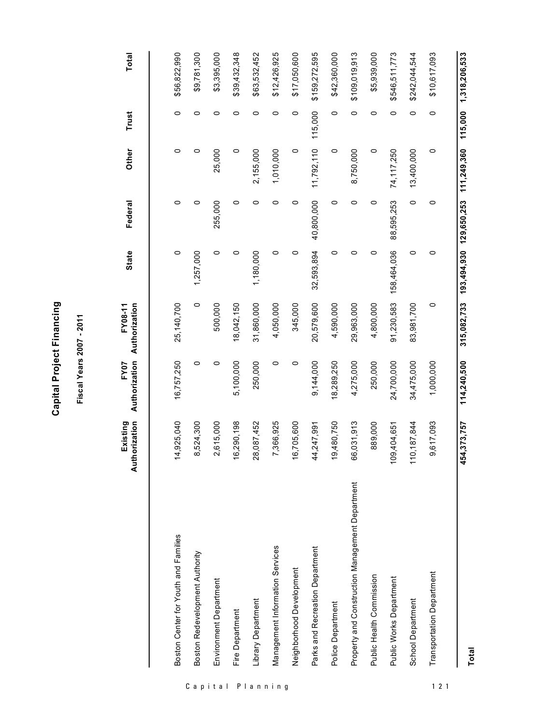| ť             |
|---------------|
| ı             |
|               |
| ٢             |
|               |
| ц             |
|               |
| ć             |
|               |
| ٠             |
|               |
|               |
| ľ<br>Ş        |
| c             |
|               |
| C             |
|               |
|               |
| s             |
| $\tilde{\pi}$ |

ත

Fiscal Years 2007 - 2011

\$3,395,000 \$12,426,925 \$159,272,595 \$109,019,913 315,082,733 193,494,930 129,650,253 111,249,360 115,000 1,318,206,533 Total \$56,822,990 \$9,781,300 \$39,432,348 \$63,532,452 \$17,050,600 \$42,360,000 \$5,939,000 \$546,511,773 \$10,617,093 \$242,044,544 11,792,110 115,000 Trust  $\circ$  $\circ$  $\circ$  $\circ$  $\circ$  $\circ$  $\circ$  $\circ$  $\circ$  $\circ$  $\circ$  $\circ$  $\circ$ Other  $\circ$ 25,000  $\circ$ 2,155,000 1,010,000  $\circ$ 8,750,000  $\circ$ 74,117,250 13,400,000  $\circ$  $\circ$  $\circ$ 32,593,894 40,800,000  $\circ$  $\circ$  $\circ$  $\circ$  $\circ$  $\circ$  $\circ$  $\circ$  $\circ$ 88,595,253  $\circ$  $\circ$ 255,000 Federal **State**  $\circ$  $\circ$  $\circ$ 1,180,000  $\circ$  $\circ$  $\circ$  $\circ$ 91,230,583 158,464,036  $\circ$  $\circ$ 1,257,000  $\circ$ FY07 FY07<br>Authorization Authorization  $\circ$ 500,000 31,860,000 20,579,600  $\circ$ 25, 140, 700 18,042,150 4,050,000 345,000 4,590,000 29,963,000 4,800,000 83,981,700 114,240,500  $\circ$ 250,000  $\circ$  $\circ$ 250,000 16,757,250  $\circ$ 5,100,000 4,275,000 34,475,000 9,144,000 18,289,250 24,700,000 1,000,000 Existing<br>Authorization 889,000 14,925,040 16,290,198 19,480,750 66,031,913 454,373,757 8,524,300 2,615,000 28,087,452 7,366,925 16,705,600 110, 187, 844 9,617,093 44,247,991 109,404,651 Property and Construction Management Department Boston Center for Youth and Families Management Information Services Parks and Recreation Department Boston Redevelopment Authority Neighborhood Development Transportation Department Public Health Commission Public Works Department Environment Department Library Department School Department Police Department Fire Department

 $121$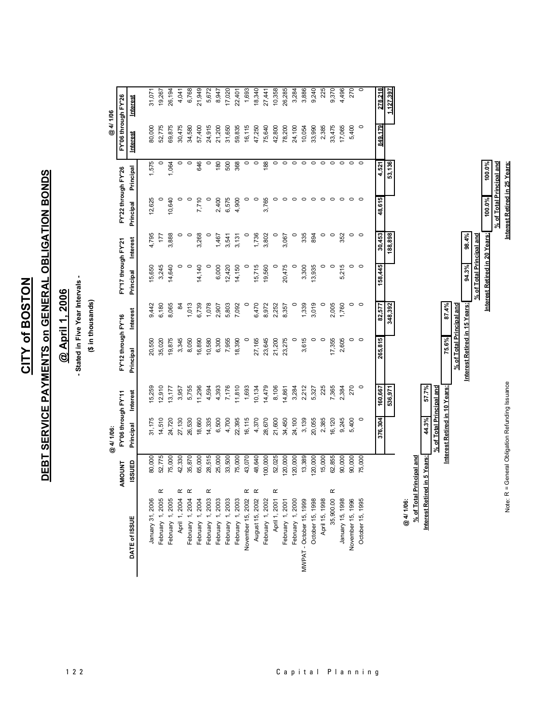CITY of BOSTON

# DEBT SERVICE PAYMENTS on GENERAL OBLIGATION BONDS

## @ April 1, 2006

# - Stated in Five Year Intervals -

### (\$ in thousands)

17,020 26,194 6,768 21,949 8,947 22,401 1,693 18,340 27,441 10,358 26,285 3,284 3,886 9,240 225 9,370 4,496 31,071 19,267 4,041 5,672 **27C** 1,127,39 FY'06 through FY'26 Interest @4/1/06 31,650 24,100 80,000 52,775 69,875 24,915 21,200 59,835 16,115 47,250 75,640 42,800 78,200 10,054 33,990 2,385 33,475 17,065 5,400  $\circ$ 30,475 34,580 57,400 149179 Interest 1,575 O 1.064 o 646 o 180 500 368 o  $\circ$ 88 Ō  $\overline{\bullet}$ ō  $\overline{\mathbf{0}}$ Ō O ō  $\overline{\phantom{a}}$  $\overline{\phantom{a}}$ 53,136 45)<br>4 FY'22 through FY'26 Principal 7,710 2,400 6,575 4,900 3,765 12,625 10,640  $\circ$  $\circ$  $\circ$  $\circ$  $\circ$  $\circ$  $\circ$  $\circ$  $\circ$  $\circ$  $\circ$  $\circ$  $\circ$  $\circ$  $\circ$  $\circ$ Principal 48.6 4,795 3,888  $\circ$  $\circ$ 3,268  $\circ$ 1,467 3,541 3,131  $\circ$ 1,736 3,802  $\circ$ 3,067  $\circ$ 335 894  $\circ$  $\circ$ 352  $\circ$  $\circ$  $177$ 30,453 188,898 FY'17 through FY'21 **Interest** 3,245 14,640 14,140 6,000  $12,420$ 14,150 15,715 19,560 20,475 3,300 13,935 5,215 158,445 15,650  $\circ$  $\circ$  $\circ$  $\circ$  $\circ$  $\circ$  $\circ$  $\circ$  $\circ$  $\circ$ Principal 6,180 5,803 6,470 3,019 8,065 1,013 6,739 1,078 7,092 8,972 2,252 1,339 2,005 1,760  $\circ$ 9,442 2,907  $\circ$ 8,357  $\circ$  $\circ$  $\circ$ æ 82,577 348,392 **Interest** FY'12 through FY'16 19,875 3,345 7,955 27,165 23,645 21,200 23,275 3,615 17,355 2,605 35,020 8,050 16,890 10,580 6,300 18,390  $\circ$  $\subset$  $\overline{C}$  $\circ$  $\circ$ 815 20,550 Principal 265, 11,810 7,365 12,910 5,755 7,176 10,134 14,479 8,106 3,284 2,212 5,327  $\circ$ 15,259 13, 177 11,296 4,594 4,393 1,693 14,861 225 2,384 270 3,957 160,667 536,971 FY'06 through FY'11 **Interest** 22,395 14,510 24,100 3,139 20,055 31,175 24,720 27,130 26,530 18,660 14,335 6,500 4,700 16,115 4,370 28,670 21,600 34,450 2,385 16,120 9,245 5,400  $\circ$ Principal @4/1/06: 52,775 35,870 28,515 25,000 33,500 75,000 100,000 120,000 62,855 90,000 80,000 75,000 42,330 65,000 43,070 48,640 52,025 120,000 13,389 120,000 15,000 90,000 75,000 ISSUED **AMOUNT**  $\alpha$  $\alpha$  $\alpha$  $\alpha$  $\alpha$  $\alpha$  $\alpha$  $\alpha$ February 1, 2005 August 15, 2002 April 1, 2001 April 1, 2004 February 1, 2004 February 1, 2003 February 1, 2003 November 15, 2002 February 1, 2000 35,900.00 February 1, 2005 February 1, 2004 February 1, 2003 February 1, 2003 February 1, 2002 February 1, 2001 January 15, 1998 November 15, 1996 October 15, 1995 January 31, 2006 MWPAT - October 15, 1999 October 15, 1998 April 15, 1998 @4/1/06: DATE of ISSUE

100.0%

100.0%

Interest Retired in 20 Years:

Note: R = General Obligation Refunding Issuance

% of Total Principal and

98.4%

94.3%

Interest Retired in 15 Years:

% of Total Principal and

87.4%

75.6%

57.7%

44.3%

% of Total Principal and

Interest Retired in 5 Years:

6 of Total Principal and Interest Retired in 10 Years: % of Total Principal and Interest Retired in 25 Years: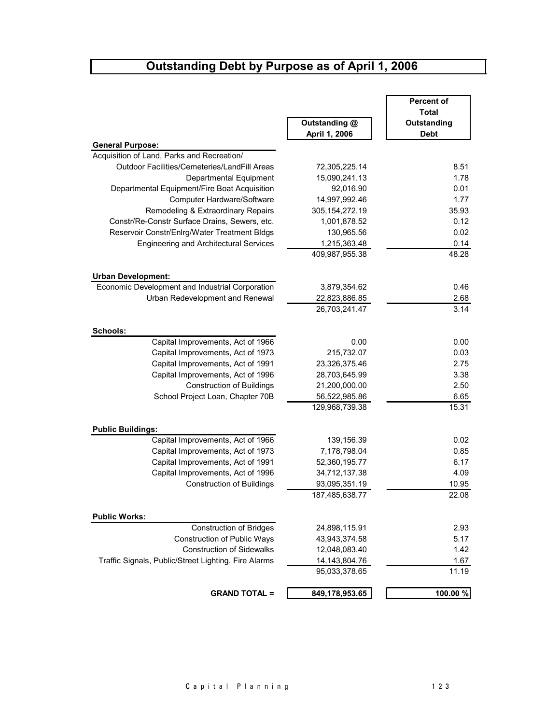### Outstanding Debt by Purpose as of April 1, 2006

|                                                      |                   | <b>Percent of</b>    |
|------------------------------------------------------|-------------------|----------------------|
|                                                      | Outstanding @     | Total<br>Outstanding |
|                                                      | April 1, 2006     | <b>Debt</b>          |
| <b>General Purpose:</b>                              |                   |                      |
| Acquisition of Land, Parks and Recreation/           |                   |                      |
| Outdoor Facilities/Cemeteries/LandFill Areas         | 72,305,225.14     | 8.51                 |
| Departmental Equipment                               | 15,090,241.13     | 1.78                 |
| Departmental Equipment/Fire Boat Acquisition         | 92,016.90         | 0.01                 |
| Computer Hardware/Software                           | 14,997,992.46     | 1.77                 |
| Remodeling & Extraordinary Repairs                   | 305, 154, 272. 19 | 35.93                |
| Constr/Re-Constr Surface Drains, Sewers, etc.        | 1,001,878.52      | 0.12                 |
| Reservoir Constr/Enlrg/Water Treatment Bldgs         | 130,965.56        | 0.02                 |
| <b>Engineering and Architectural Services</b>        | 1,215,363.48      | 0.14                 |
|                                                      | 409,987,955.38    | 48.28                |
| <b>Urban Development:</b>                            |                   |                      |
| Economic Development and Industrial Corporation      | 3,879,354.62      | 0.46                 |
| Urban Redevelopment and Renewal                      | 22,823,886.85     | 2.68                 |
|                                                      | 26,703,241.47     | 3.14                 |
| Schools:                                             |                   |                      |
| Capital Improvements, Act of 1966                    | 0.00              | 0.00                 |
| Capital Improvements, Act of 1973                    | 215,732.07        | 0.03                 |
| Capital Improvements, Act of 1991                    | 23,326,375.46     | 2.75                 |
| Capital Improvements, Act of 1996                    | 28,703,645.99     | 3.38                 |
| <b>Construction of Buildings</b>                     | 21,200,000.00     | 2.50                 |
| School Project Loan, Chapter 70B                     | 56,522,985.86     | 6.65                 |
|                                                      | 129,968,739.38    | 15.31                |
| <b>Public Buildings:</b>                             |                   |                      |
| Capital Improvements, Act of 1966                    | 139,156.39        | 0.02                 |
| Capital Improvements, Act of 1973                    | 7,178,798.04      | 0.85                 |
| Capital Improvements, Act of 1991                    | 52,360,195.77     | 6.17                 |
| Capital Improvements, Act of 1996                    | 34,712,137.38     | 4.09                 |
| <b>Construction of Buildings</b>                     | 93,095,351.19     | 10.95                |
|                                                      | 187,485,638.77    | 22.08                |
| <b>Public Works:</b>                                 |                   |                      |
| <b>Construction of Bridges</b>                       | 24,898,115.91     | 2.93                 |
| <b>Construction of Public Ways</b>                   | 43,943,374.58     | 5.17                 |
| <b>Construction of Sidewalks</b>                     | 12,048,083.40     | 1.42                 |
| Traffic Signals, Public/Street Lighting, Fire Alarms | 14, 143, 804. 76  | 1.67                 |
|                                                      | 95,033,378.65     | 11.19                |
| <b>GRAND TOTAL =</b>                                 | 849,178,953.65    | 100.00 %             |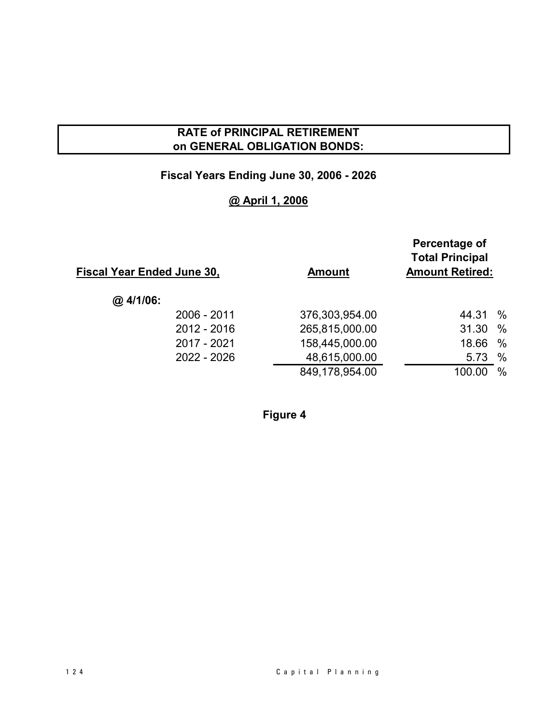### **RATE of PRINCIPAL RETIREMENT** on GENERAL OBLIGATION BONDS:

### Fiscal Years Ending June 30, 2006 - 2026

### @ April 1, 2006

| <u>Fiscal Year Ended June 30,</u> | <b>Amount</b>  | Percentage of<br><b>Total Principal</b><br><b>Amount Retired:</b> |
|-----------------------------------|----------------|-------------------------------------------------------------------|
| @.4/1/06:                         |                |                                                                   |
| 2006 - 2011                       | 376,303,954.00 | $\%$<br>44.31                                                     |
| 2012 - 2016                       | 265,815,000.00 | $\frac{0}{0}$<br>31.30                                            |
| 2017 - 2021                       | 158,445,000.00 | $\%$<br>18.66                                                     |
| 2022 - 2026                       | 48,615,000.00  | $\%$<br>5.73                                                      |
|                                   | 849,178,954.00 | 100.00<br>$\%$                                                    |
|                                   |                |                                                                   |

Figure 4